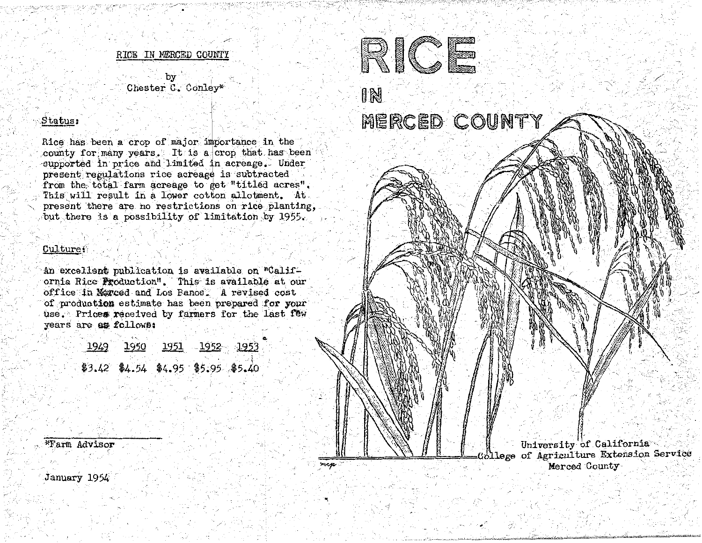RICE IN MERCED COUNTY

Chester C. Conley\*

## $_{\rm status}$

Rice has been a crop of major importance in the county for many years. It is a crop that has been supported in price and limited in acreage. Under present regulations rice acreage is subtracted from the total farm acreage to get "titled acres". This will result in a lower cotton allotment. At present there are no restrictions on rice planting. but there is a possibility of limitation by 1955.

## Culture:

An excellent publication is available on "California Rice Production". This is available at our office in Merced and Los Banos. A revised cost of production estimate has been prepared for your use. Prices received by farmers for the last few years are as follows:

|  | 1949  1950  1951  1952  1953     |  |
|--|----------------------------------|--|
|  |                                  |  |
|  | 3.42 \$4.54 \$4.95 \$5.95 \$5.40 |  |

mcp



University of California lege of Agriculture Extension Service Merced County

\*Farm Advisor

January 1954